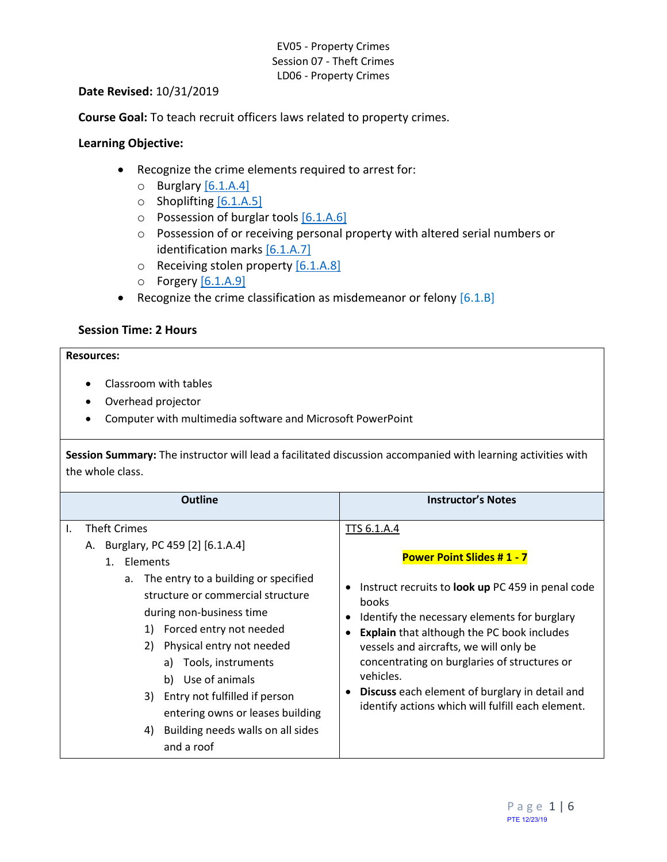#### **Date Revised:** 10/31/2019

**Course Goal:** To teach recruit officers laws related to property crimes.

### **Learning Objective:**

- Recognize the crime elements required to arrest for:
	- $\circ$  Burglary [\[6.1.A.4\]](#page-0-0)
	- o Shoplifting [\[6.1.A.5\]](#page-1-0)
	- o Possession of burglar tool[s \[6.1.A.6\]](#page-1-1)
	- o Possession of or receiving personal property with altered serial numbers or identification marks [\[6.1.A.7\]](#page-2-0)
	- $\circ$  Receiving stolen property [\[6.1.A.8\]](#page-2-1)
	- $\circ$  Forgery  $[6.1.A.9]$
- <span id="page-0-3"></span><span id="page-0-2"></span><span id="page-0-1"></span>• Recognize the crime classification as misdemeanor or felony  $[6.1.8]$

### **Session Time: 2 Hours**

# **Resources:**

- Classroom with tables
- Overhead projector
- Computer with multimedia software and Microsoft PowerPoint

**Session Summary:** The instructor will lead a facilitated discussion accompanied with learning activities with the whole class.

<span id="page-0-0"></span>

| <b>Outline</b>                                                                                                                                                                                                                                                                                                                                                                                                                                  | <b>Instructor's Notes</b>                                                                                                                                                                                                                                                                                                                                                                                                                                        |
|-------------------------------------------------------------------------------------------------------------------------------------------------------------------------------------------------------------------------------------------------------------------------------------------------------------------------------------------------------------------------------------------------------------------------------------------------|------------------------------------------------------------------------------------------------------------------------------------------------------------------------------------------------------------------------------------------------------------------------------------------------------------------------------------------------------------------------------------------------------------------------------------------------------------------|
| <b>Theft Crimes</b><br>I.<br>A. Burglary, PC 459 [2] [6.1.A.4]<br>1. Elements<br>a. The entry to a building or specified<br>structure or commercial structure<br>during non-business time<br>1) Forced entry not needed<br>Physical entry not needed<br>2)<br>a) Tools, instruments<br>Use of animals<br>b)<br>Entry not fulfilled if person<br>3)<br>entering owns or leases building<br>Building needs walls on all sides<br>4)<br>and a roof | TTS 6.1.A.4<br><b>Power Point Slides #1 - 7</b><br>Instruct recruits to <b>look up</b> PC 459 in penal code<br>$\bullet$<br>books<br>Identify the necessary elements for burglary<br>€<br><b>Explain</b> that although the PC book includes<br>vessels and aircrafts, we will only be<br>concentrating on burglaries of structures or<br>vehicles.<br><b>Discuss</b> each element of burglary in detail and<br>identify actions which will fulfill each element. |
|                                                                                                                                                                                                                                                                                                                                                                                                                                                 |                                                                                                                                                                                                                                                                                                                                                                                                                                                                  |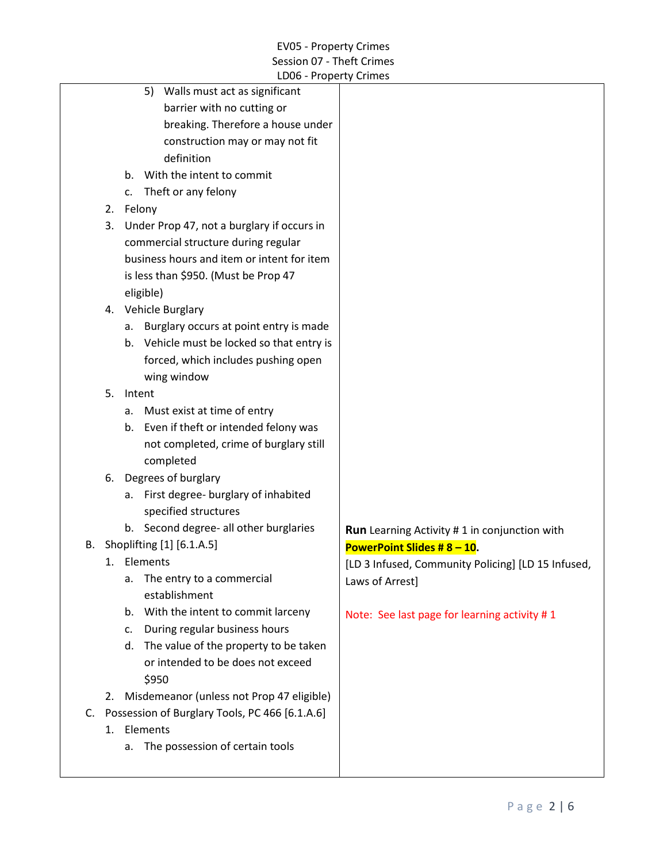<span id="page-1-1"></span><span id="page-1-0"></span>

|                            |    |    | LDUD - Property Crimes                            |                                                     |
|----------------------------|----|----|---------------------------------------------------|-----------------------------------------------------|
|                            |    |    | Walls must act as significant<br>5)               |                                                     |
| barrier with no cutting or |    |    |                                                   |                                                     |
|                            |    |    | breaking. Therefore a house under                 |                                                     |
|                            |    |    | construction may or may not fit                   |                                                     |
|                            |    |    | definition                                        |                                                     |
|                            |    | b. | With the intent to commit                         |                                                     |
|                            |    | c. | Theft or any felony                               |                                                     |
|                            |    |    | 2. Felony                                         |                                                     |
|                            | 3. |    | Under Prop 47, not a burglary if occurs in        |                                                     |
|                            |    |    | commercial structure during regular               |                                                     |
|                            |    |    | business hours and item or intent for item        |                                                     |
|                            |    |    | is less than \$950. (Must be Prop 47              |                                                     |
|                            |    |    | eligible)                                         |                                                     |
|                            |    |    | 4. Vehicle Burglary                               |                                                     |
|                            |    | а. | Burglary occurs at point entry is made            |                                                     |
|                            |    | b. | Vehicle must be locked so that entry is           |                                                     |
|                            |    |    | forced, which includes pushing open               |                                                     |
|                            |    |    | wing window                                       |                                                     |
|                            | 5. |    | Intent                                            |                                                     |
|                            |    |    | a. Must exist at time of entry                    |                                                     |
|                            |    | b. | Even if theft or intended felony was              |                                                     |
|                            |    |    | not completed, crime of burglary still            |                                                     |
|                            |    |    | completed                                         |                                                     |
|                            |    |    | 6. Degrees of burglary                            |                                                     |
|                            |    | а. | First degree- burglary of inhabited               |                                                     |
|                            |    |    | specified structures                              |                                                     |
|                            |    |    | b. Second degree- all other burglaries            | <b>Run</b> Learning Activity #1 in conjunction with |
| В.                         |    |    | Shoplifting [1] [6.1.A.5]                         | PowerPoint Slides # $8 - 10$ .                      |
|                            |    |    | 1. Elements                                       | [LD 3 Infused, Community Policing] [LD 15 Infused,  |
|                            |    | а. | The entry to a commercial                         | Laws of Arrest]                                     |
|                            |    |    | establishment                                     |                                                     |
|                            |    | b. | With the intent to commit larceny                 | Note: See last page for learning activity #1        |
|                            |    | c. | During regular business hours                     |                                                     |
|                            |    | d. | The value of the property to be taken             |                                                     |
|                            |    |    | or intended to be does not exceed                 |                                                     |
|                            |    |    | \$950                                             |                                                     |
|                            | 2. |    | Misdemeanor (unless not Prop 47 eligible)         |                                                     |
|                            |    |    | C. Possession of Burglary Tools, PC 466 [6.1.A.6] |                                                     |
|                            |    |    | 1. Elements                                       |                                                     |
|                            |    |    | a. The possession of certain tools                |                                                     |
|                            |    |    |                                                   |                                                     |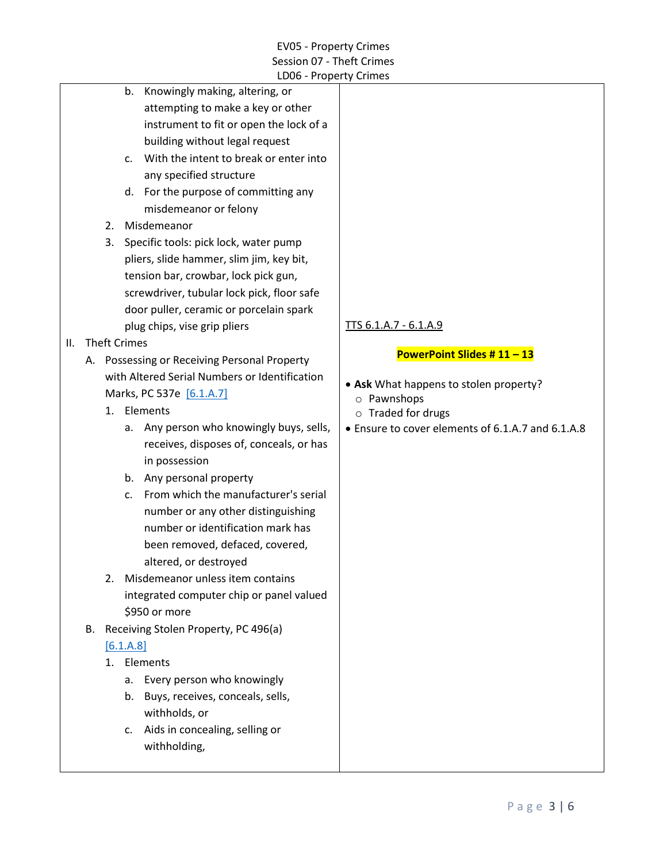<span id="page-2-0"></span>

|    |    |                     |                | LD06 - Property Crimes                                                  |                                                                         |
|----|----|---------------------|----------------|-------------------------------------------------------------------------|-------------------------------------------------------------------------|
|    |    |                     | b.             | Knowingly making, altering, or                                          |                                                                         |
|    |    |                     |                | attempting to make a key or other                                       |                                                                         |
|    |    |                     |                | instrument to fit or open the lock of a                                 |                                                                         |
|    |    |                     |                | building without legal request                                          |                                                                         |
|    |    |                     | $\mathsf{C}$ . | With the intent to break or enter into                                  |                                                                         |
|    |    |                     |                | any specified structure                                                 |                                                                         |
|    |    |                     |                | d. For the purpose of committing any                                    |                                                                         |
|    |    |                     |                | misdemeanor or felony                                                   |                                                                         |
|    |    | 2.                  |                | Misdemeanor                                                             |                                                                         |
|    |    | 3.                  |                | Specific tools: pick lock, water pump                                   |                                                                         |
|    |    |                     |                | pliers, slide hammer, slim jim, key bit,                                |                                                                         |
|    |    |                     |                | tension bar, crowbar, lock pick gun,                                    |                                                                         |
|    |    |                     |                | screwdriver, tubular lock pick, floor safe                              |                                                                         |
|    |    |                     |                | door puller, ceramic or porcelain spark                                 |                                                                         |
|    |    |                     |                | plug chips, vise grip pliers                                            | TTS 6.1.A.7 - 6.1.A.9                                                   |
| Ш. |    | <b>Theft Crimes</b> |                |                                                                         |                                                                         |
|    |    |                     |                | A. Possessing or Receiving Personal Property                            | PowerPoint Slides #11-13                                                |
|    |    |                     |                | with Altered Serial Numbers or Identification                           |                                                                         |
|    |    |                     |                | Marks, PC 537e [6.1.A.7]                                                | • Ask What happens to stolen property?                                  |
|    |    |                     |                | 1. Elements                                                             | o Pawnshops                                                             |
|    |    |                     | a.             | Any person who knowingly buys, sells,                                   | o Traded for drugs<br>• Ensure to cover elements of 6.1.A.7 and 6.1.A.8 |
|    |    |                     |                | receives, disposes of, conceals, or has                                 |                                                                         |
|    |    |                     |                | in possession                                                           |                                                                         |
|    |    |                     | b.             | Any personal property                                                   |                                                                         |
|    |    |                     |                | From which the manufacturer's serial                                    |                                                                         |
|    |    |                     | c.             |                                                                         |                                                                         |
|    |    |                     |                | number or any other distinguishing<br>number or identification mark has |                                                                         |
|    |    |                     |                |                                                                         |                                                                         |
|    |    |                     |                | been removed, defaced, covered,                                         |                                                                         |
|    |    |                     |                | altered, or destroyed<br>Misdemeanor unless item contains               |                                                                         |
|    |    | 2.                  |                |                                                                         |                                                                         |
|    |    |                     |                | integrated computer chip or panel valued                                |                                                                         |
|    |    |                     |                | \$950 or more                                                           |                                                                         |
|    | В. |                     |                | Receiving Stolen Property, PC 496(a)                                    |                                                                         |
|    |    |                     | [6.1.A.8]      |                                                                         |                                                                         |
|    |    |                     |                | 1. Elements                                                             |                                                                         |
|    |    |                     | а.             | Every person who knowingly                                              |                                                                         |
|    |    |                     | b.             | Buys, receives, conceals, sells,                                        |                                                                         |
|    |    |                     |                | withholds, or                                                           |                                                                         |
|    |    |                     | c.             | Aids in concealing, selling or                                          |                                                                         |

<span id="page-2-1"></span>withholding,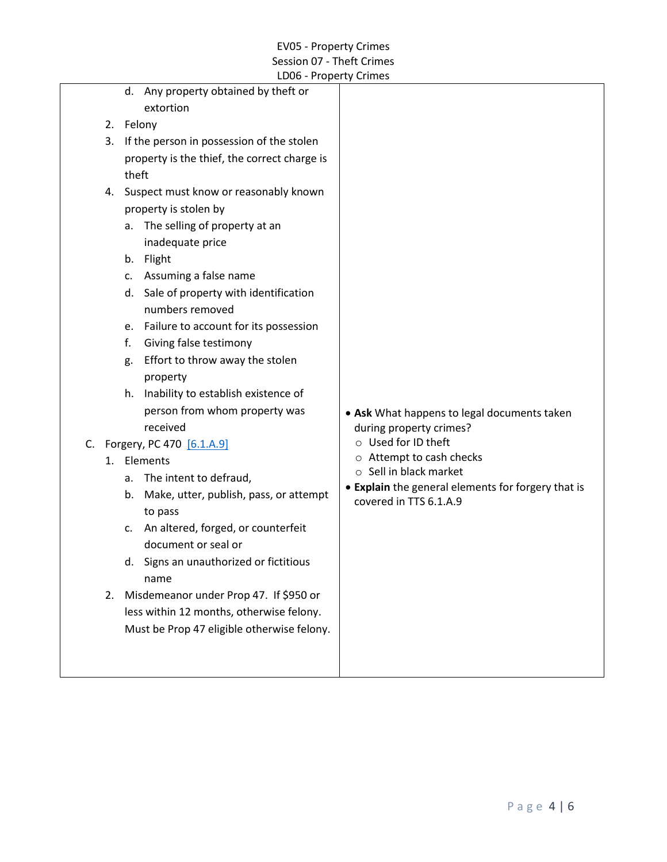<span id="page-3-0"></span>

|    |    | EDOO TTOPCITY CITTINGS                       |                                                    |
|----|----|----------------------------------------------|----------------------------------------------------|
|    |    | d. Any property obtained by theft or         |                                                    |
|    |    | extortion                                    |                                                    |
|    | 2. | Felony                                       |                                                    |
|    | 3. | If the person in possession of the stolen    |                                                    |
|    |    | property is the thief, the correct charge is |                                                    |
|    |    | theft                                        |                                                    |
|    | 4. | Suspect must know or reasonably known        |                                                    |
|    |    | property is stolen by                        |                                                    |
|    |    | a. The selling of property at an             |                                                    |
|    |    | inadequate price                             |                                                    |
|    |    | b. Flight                                    |                                                    |
|    |    | c. Assuming a false name                     |                                                    |
|    |    | d. Sale of property with identification      |                                                    |
|    |    | numbers removed                              |                                                    |
|    |    | e. Failure to account for its possession     |                                                    |
|    |    | Giving false testimony<br>f.                 |                                                    |
|    |    | Effort to throw away the stolen<br>g.        |                                                    |
|    |    | property                                     |                                                    |
|    |    | h. Inability to establish existence of       |                                                    |
|    |    | person from whom property was                | • Ask What happens to legal documents taken        |
|    |    | received                                     | during property crimes?                            |
| C. |    | Forgery, PC 470 [6.1.A.9]                    | ○ Used for ID theft                                |
|    |    | 1. Elements                                  | o Attempt to cash checks                           |
|    |    | a. The intent to defraud,                    | ○ Sell in black market                             |
|    |    | b. Make, utter, publish, pass, or attempt    | • Explain the general elements for forgery that is |
|    |    | to pass                                      | covered in TTS 6.1.A.9                             |
|    |    | An altered, forged, or counterfeit<br>c.     |                                                    |
|    |    | document or seal or                          |                                                    |
|    |    | d. Signs an unauthorized or fictitious       |                                                    |
|    |    | name                                         |                                                    |
|    | 2. | Misdemeanor under Prop 47. If \$950 or       |                                                    |
|    |    | less within 12 months, otherwise felony.     |                                                    |
|    |    | Must be Prop 47 eligible otherwise felony.   |                                                    |
|    |    |                                              |                                                    |
|    |    |                                              |                                                    |
|    |    |                                              |                                                    |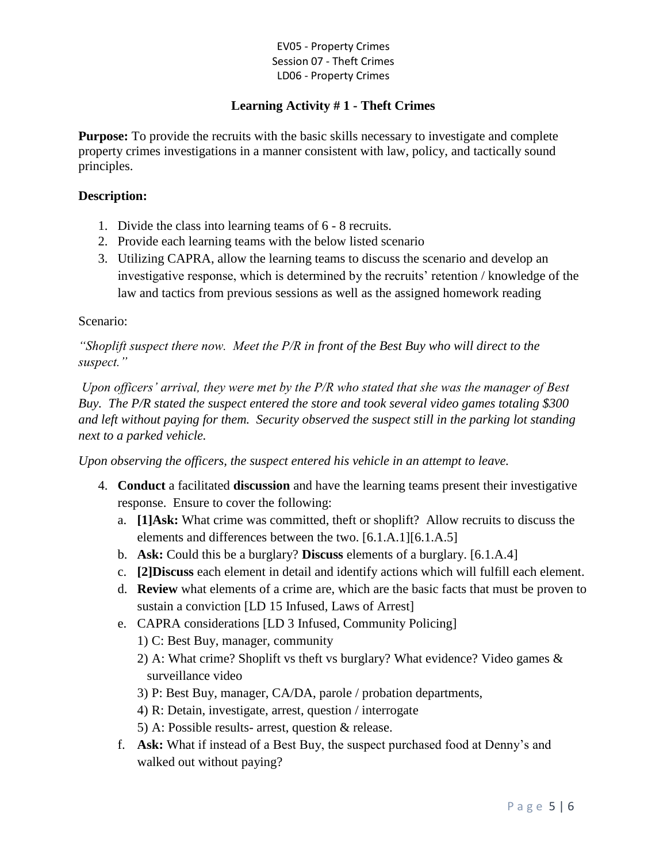# **Learning Activity # 1 - Theft Crimes**

**Purpose:** To provide the recruits with the basic skills necessary to investigate and complete property crimes investigations in a manner consistent with law, policy, and tactically sound principles.

### **Description:**

- 1. Divide the class into learning teams of 6 8 recruits.
- 2. Provide each learning teams with the below listed scenario
- 3. Utilizing CAPRA, allow the learning teams to discuss the scenario and develop an investigative response, which is determined by the recruits' retention / knowledge of the law and tactics from previous sessions as well as the assigned homework reading

## Scenario:

*"Shoplift suspect there now. Meet the P/R in front of the Best Buy who will direct to the suspect."*

*Upon officers' arrival, they were met by the P/R who stated that she was the manager of Best Buy. The P/R stated the suspect entered the store and took several video games totaling \$300 and left without paying for them. Security observed the suspect still in the parking lot standing next to a parked vehicle.* 

*Upon observing the officers, the suspect entered his vehicle in an attempt to leave.*

- 4. **Conduct** a facilitated **discussion** and have the learning teams present their investigative response. Ensure to cover the following:
	- a. **[1]Ask:** What crime was committed, theft or shoplift? Allow recruits to discuss the elements and differences between the two. [6.1.A.1][6.1.A.5]
	- b. **Ask:** Could this be a burglary? **Discuss** elements of a burglary. [6.1.A.4]
	- c. **[2]Discuss** each element in detail and identify actions which will fulfill each element.
	- d. **Review** what elements of a crime are, which are the basic facts that must be proven to sustain a conviction [LD 15 Infused, Laws of Arrest]
	- e. CAPRA considerations [LD 3 Infused, Community Policing]
		- 1) C: Best Buy, manager, community
		- 2) A: What crime? Shoplift vs theft vs burglary? What evidence? Video games & surveillance video
		- 3) P: Best Buy, manager, CA/DA, parole / probation departments,
		- 4) R: Detain, investigate, arrest, question / interrogate
		- 5) A: Possible results- arrest, question & release.
	- f. **Ask:** What if instead of a Best Buy, the suspect purchased food at Denny's and walked out without paying?